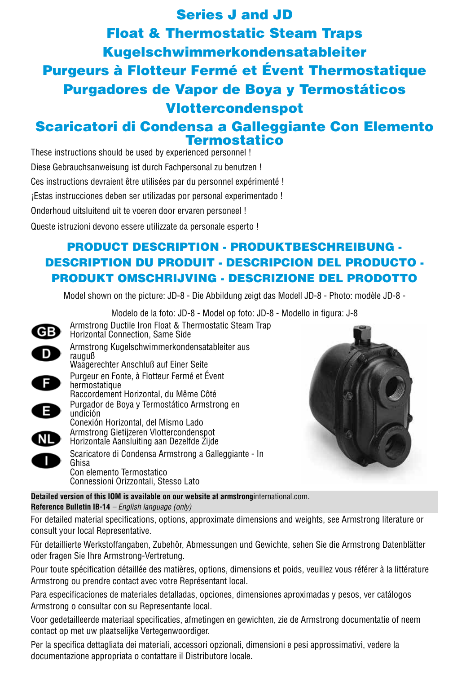Series J and JD Float & Thermostatic Steam Traps Kugelschwimmerkondensatableiter Purgeurs à Flotteur Fermé et Évent Thermostatique Purgadores de Vapor de Boya y Termostáticos Vlottercondenspot

# Scaricatori di Condensa a Galleggiante Con Elemento Termostatico

These instructions should be used by experienced personnel ! Diese Gebrauchsanweisung ist durch Fachpersonal zu benutzen !

Ces instructions devraient être utilisées par du personnel expérimenté !

¡Estas instrucciones deben ser utilizadas por personal experimentado !

Onderhoud uitsluitend uit te voeren door ervaren personeel !

Queste istruzioni devono essere utilizzate da personale esperto !

# PRODUCT DESCRIPTION - PRODUKTBESCHREIBUNG - DESCRIPTION DU PRODUIT - DESCRIPCION DEL PRODUCTO - PRODUKT OMSCHRIJVING - DESCRIZIONE DEL PRODOTTO

Model shown on the picture: JD-8 - Die Abbildung zeigt das Modell JD-8 - Photo: modèle JD-8 -

Modelo de la foto: JD-8 - Model op foto: JD-8 - Modello in figura: J-8 Armstrong Ductile Iron Float & Thermostatic Steam Trap GB Horizontal Connection, Same Side Armstrong Kugelschwimmerkondensatableiter aus  $\overline{D}$ rauguß Waagerechter Anschluß auf Einer Seite Purgeur en Fonte, à Flotteur Fermé et Évent A hermostatique Raccordement Horizontal, du Même Côté Purgador de Boya y Termostático Armstrong en E undición Conexión Horizontal, del Mismo LadoArmstrong Gietijzeren Vlottercondenspot **NL** Horizontale Aansluiting aan Dezelfde Zijde Scaricatore di Condensa Armstrong a Galleggiante - In Ghisa Con elemento Termostatico Connessioni Orizzontali, Stesso Lato



**Detailed version of this IOM is available on our website at armstrong**international.com. **Reference Bulletin IB-14** *– English language (only)*

For detailed material specifications, options, approximate dimensions and weights, see Armstrong literature or consult your local Representative.

Für detaillierte Werkstoffangaben, Zubehör, Abmessungen und Gewichte, sehen Sie die Armstrong Datenblätter oder fragen Sie Ihre Armstrong-Vertretung.

Pour toute spécification détaillée des matières, options, dimensions et poids, veuillez vous référer à la littérature Armstrong ou prendre contact avec votre Représentant local.

Para especificaciones de materiales detalladas, opciones, dimensiones aproximadas y pesos, ver catálogos Armstrong o consultar con su Representante local.

Voor gedetailleerde materiaal specificaties, afmetingen en gewichten, zie de Armstrong documentatie of neem contact op met uw plaatselijke Vertegenwoordiger.

Per la specifica dettagliata dei materiali, accessori opzionali, dimensioni e pesi approssimativi, vedere la documentazione appropriata o contattare il Distributore locale.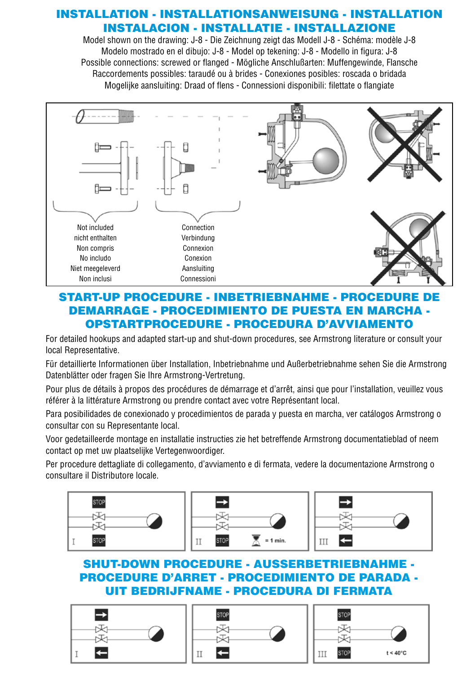### INSTALLATION - INSTALLATIONSANWEISUNG - INSTALLATION INSTALACION - INSTALLATIE - INSTALLAZIONE

Model shown on the drawing: J-8 - Die Zeichnung zeigt das Modell J-8 - Schéma: modèle J-8 Modelo mostrado en el dibujo: J-8 - Model op tekening: J-8 - Modello in figura: J-8 Possible connections: screwed or flanged - Mögliche Anschlußarten: Muffengewinde, Flansche Raccordements possibles: taraudé ou à brides - Conexiones posibles: roscada o bridada Mogelijke aansluiting: Draad of flens - Connessioni disponibili: filettate o flangiate



## START-UP PROCEDURE - INBETRIEBNAHME - PROCEDURE DE DEMARRAGE - PROCEDIMIENTO DE PUESTA EN MARCHA - OPSTARTPROCEDURE - PROCEDURA D'AVVIAMENTO

For detailed hookups and adapted start-up and shut-down procedures, see Armstrong literature or consult your local Representative.

Für detaillierte Informationen über Installation, Inbetriebnahme und Außerbetriebnahme sehen Sie die Armstrong Datenblätter oder fragen Sie Ihre Armstrong-Vertretung.

Pour plus de détails à propos des procédures de démarrage et d'arrêt, ainsi que pour l'installation, veuillez vous référer à la littérature Armstrong ou prendre contact avec votre Représentant local.

Para posibilidades de conexionado y procedimientos de parada y puesta en marcha, ver catálogos Armstrong o consultar con su Representante local.

Voor gedetailleerde montage en installatie instructies zie het betreffende Armstrong documentatieblad of neem contact op met uw plaatselijke Vertegenwoordiger.

Per procedure dettagliate di collegamento, d'avviamento e di fermata, vedere la documentazione Armstrong o consultare il Distributore locale.







## SHUT-DOWN PROCEDURE - AUSSERBETRIEBNAHME - PROCEDURE D'ARRET - PROCEDIMIENTO DE PARADA - UIT BEDRIJFNAME - PROCEDURA DI FERMATA

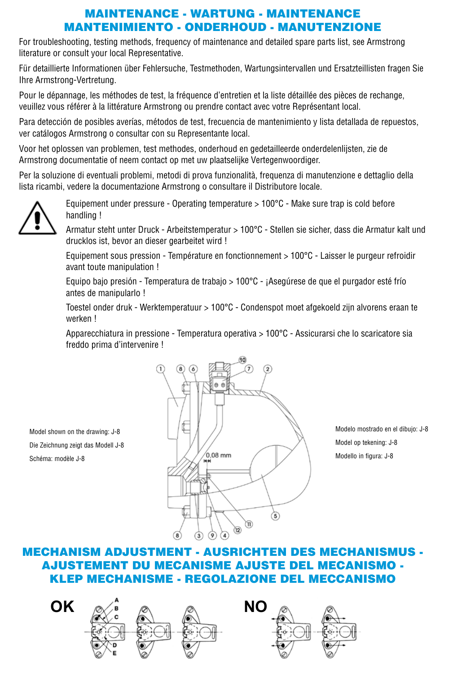### MAINTENANCE - WARTUNG - MAINTENANCE MANTENIMIENTO - ONDERHOUD - MANUTENZIONE

For troubleshooting, testing methods, frequency of maintenance and detailed spare parts list, see Armstrong literature or consult your local Representative.

Für detaillierte Informationen über Fehlersuche, Testmethoden, Wartungsintervallen und Ersatzteillisten fragen Sie Ihre Armstrong-Vertretung.

Pour le dépannage, les méthodes de test, la fréquence d'entretien et la liste détaillée des pièces de rechange, veuillez vous référer à la littérature Armstrong ou prendre contact avec votre Représentant local.

Para detección de posibles averías, métodos de test, frecuencia de mantenimiento y lista detallada de repuestos, ver catálogos Armstrong o consultar con su Representante local.

Voor het oplossen van problemen, test methodes, onderhoud en gedetailleerde onderdelenlijsten, zie de Armstrong documentatie of neem contact op met uw plaatselijke Vertegenwoordiger.

Per la soluzione di eventuali problemi, metodi di prova funzionalità, frequenza di manutenzione e dettaglio della lista ricambi, vedere la documentazione Armstrong o consultare il Distributore locale.



Equipement under pressure - Operating temperature > 100°C - Make sure trap is cold before handling !

Armatur steht unter Druck - Arbeitstemperatur > 100°C - Stellen sie sicher, dass die Armatur kalt und drucklos ist, bevor an dieser gearbeitet wird !

Equipement sous pression - Température en fonctionnement > 100°C - Laisser le purgeur refroidir avant toute manipulation !

Equipo bajo presión - Temperatura de trabajo > 100°C - ¡Asegúrese de que el purgador esté frío antes de manipularlo !

Toestel onder druk - Werktemperatuur > 100°C - Condenspot moet afgekoeld zijn alvorens eraan te werken !

Apparecchiatura in pressione - Temperatura operativa > 100°C - Assicurarsi che lo scaricatore sia freddo prima d'intervenire !

Model shown on the drawing: J-8 Die Zeichnung zeigt das Modell J-8 Schéma: modèle J-8



Modelo mostrado en el dibujo: J-8 Model op tekening: J-8 Modello in figura: J-8

# MECHANISM ADJUSTMENT - AUSRICHTEN DES MECHANISMUS - AJUSTEMENT DU MECANISME AJUSTE DEL MECANISMO - KLEP MECHANISME - REGOLAZIONE DEL MECCANISMO